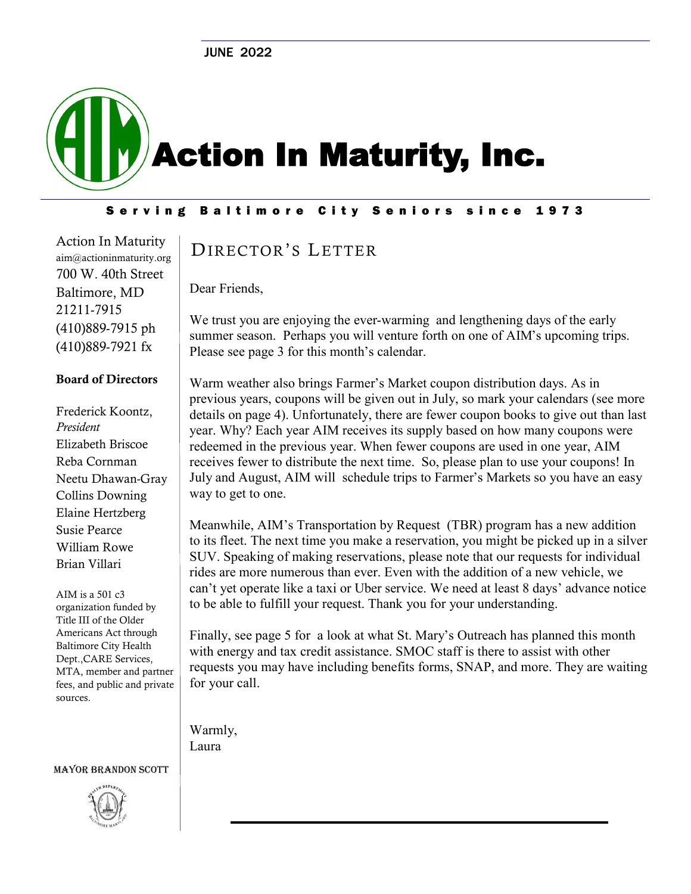# Action In Maturity, Inc.

Serving Baltimore City Seniors since 1973

Action In Maturity aim@actioninmaturity.org 700 W. 40th Street Baltimore, MD 21211-7915 (410)889-7915 ph (410)889-7921 fx

#### Board of Directors

Frederick Koontz, *President* Elizabeth Briscoe Reba Cornman Neetu Dhawan-Gray Collins Downing Elaine Hertzberg Susie Pearce William Rowe Brian Villari

AIM is a 501 c3 organization funded by Title III of the Older Americans Act through Baltimore City Health Dept.,CARE Services, MTA, member and partner fees, and public and private sources.

#### Mayor BRANDON SCOTT



# DIRECTOR'S LETTER

Dear Friends,

We trust you are enjoying the ever-warming and lengthening days of the early summer season. Perhaps you will venture forth on one of AIM's upcoming trips. Please see page 3 for this month's calendar.

Warm weather also brings Farmer's Market coupon distribution days. As in previous years, coupons will be given out in July, so mark your calendars (see more details on page 4). Unfortunately, there are fewer coupon books to give out than last year. Why? Each year AIM receives its supply based on how many coupons were redeemed in the previous year. When fewer coupons are used in one year, AIM receives fewer to distribute the next time. So, please plan to use your coupons! In July and August, AIM will schedule trips to Farmer's Markets so you have an easy way to get to one.

Meanwhile, AIM's Transportation by Request (TBR) program has a new addition to its fleet. The next time you make a reservation, you might be picked up in a silver SUV. Speaking of making reservations, please note that our requests for individual rides are more numerous than ever. Even with the addition of a new vehicle, we can't yet operate like a taxi or Uber service. We need at least 8 days' advance notice to be able to fulfill your request. Thank you for your understanding.

Finally, see page 5 for a look at what St. Mary's Outreach has planned this month with energy and tax credit assistance. SMOC staff is there to assist with other requests you may have including benefits forms, SNAP, and more. They are waiting for your call.

Warmly, Laura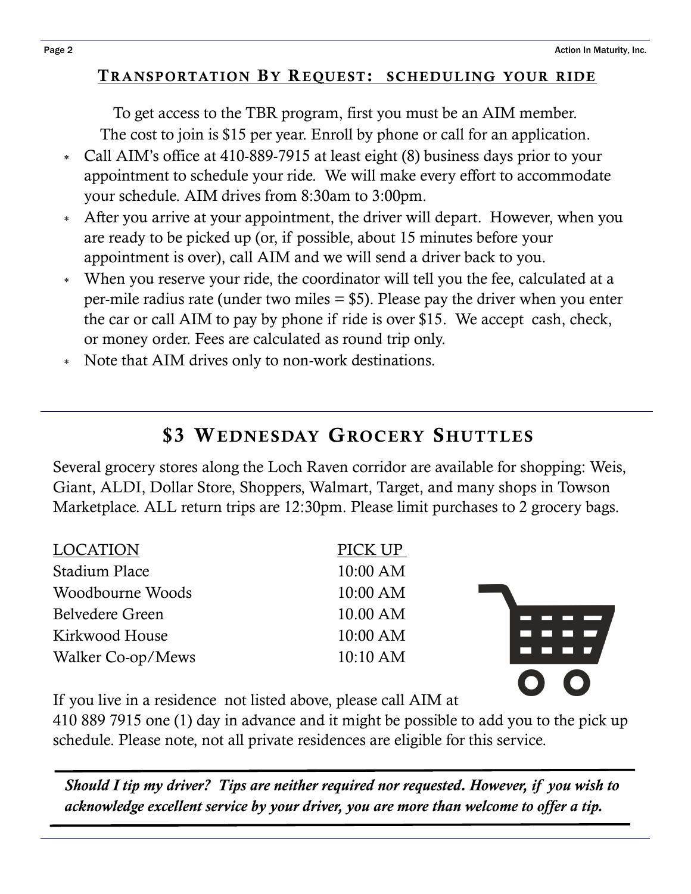$\bullet$   $\bullet$ 

#### TRANSPORTATION BY REQUEST: SCHEDULING YOUR RIDE

To get access to the TBR program, first you must be an AIM member. The cost to join is \$15 per year. Enroll by phone or call for an application.

- Call AIM's office at 410-889-7915 at least eight (8) business days prior to your appointment to schedule your ride. We will make every effort to accommodate your schedule. AIM drives from 8:30am to 3:00pm.
- After you arrive at your appointment, the driver will depart. However, when you are ready to be picked up (or, if possible, about 15 minutes before your appointment is over), call AIM and we will send a driver back to you.
- When you reserve your ride, the coordinator will tell you the fee, calculated at a per-mile radius rate (under two miles = \$5). Please pay the driver when you enter the car or call AIM to pay by phone if ride is over \$15. We accept cash, check, or money order. Fees are calculated as round trip only.
- Note that AIM drives only to non-work destinations.

# **\$3 WEDNESDAY GROCERY SHUTTLES**

Several grocery stores along the Loch Raven corridor are available for shopping: Weis, Giant, ALDI, Dollar Store, Shoppers, Walmart, Target, and many shops in Towson Marketplace. ALL return trips are 12:30pm. Please limit purchases to 2 grocery bags.

| <b>LOCATION</b>   | PICK UP  |  |
|-------------------|----------|--|
| Stadium Place     | 10:00 AM |  |
| Woodbourne Woods  | 10:00 AM |  |
| Belvedere Green   | 10.00 AM |  |
| Kirkwood House    | 10:00 AM |  |
| Walker Co-op/Mews | 10:10 AM |  |
|                   |          |  |

If you live in a residence not listed above, please call AIM at

410 889 7915 one (1) day in advance and it might be possible to add you to the pick up schedule. Please note, not all private residences are eligible for this service.

*Should I tip my driver? Tips are neither required nor requested. However, if you wish to acknowledge excellent service by your driver, you are more than welcome to offer a tip.*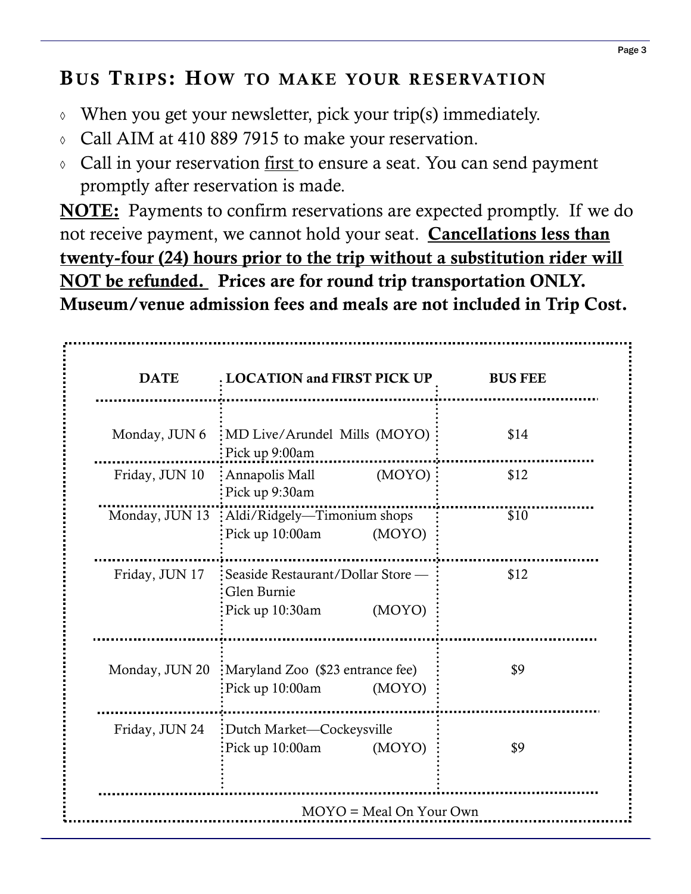# BUS TRIPS: HOW TO MAKE YOUR RESERVATION

- $\Diamond$  When you get your newsletter, pick your trip(s) immediately.
- Call AIM at 410 889 7915 to make your reservation.
- Call in your reservation first to ensure a seat. You can send payment promptly after reservation is made.

NOTE: Payments to confirm reservations are expected promptly. If we do not receive payment, we cannot hold your seat. Cancellations less than twenty-four (24) hours prior to the trip without a substitution rider will NOT be refunded. Prices are for round trip transportation ONLY. Museum/venue admission fees and meals are not included in Trip Cost.

| <b>DATE</b>    | . LOCATION and FIRST PICK UP                                                    | <b>BUS FEE</b> |
|----------------|---------------------------------------------------------------------------------|----------------|
| Monday, JUN 6  | : MD Live/Arundel Mills (MOYO)<br>$\frac{1}{2}$ Pick up 9:00am                  | \$14           |
| Friday, JUN 10 | : Annapolis Mall<br>(MOYO)<br>Pick up 9:30am                                    | \$12           |
| Monday, JUN 13 | : Aldi/Ridgely—Timonium shops<br>Pick up 10:00am<br>(MOYO)                      | \$10           |
| Friday, JUN 17 | : Seaside Restaurant/Dollar Store -<br>Glen Burnie<br>(MOYO)<br>Pick up 10:30am | \$12           |
| Monday, JUN 20 | :Maryland Zoo (\$23 entrance fee)<br>Pick up 10:00am<br>(MOYO)                  | \$9            |
| Friday, JUN 24 | :Dutch Market-Cockeysville<br>(MOYO)<br>Pick up 10:00am                         | \$9            |
|                | $MOYO = Meal On Your Own$                                                       |                |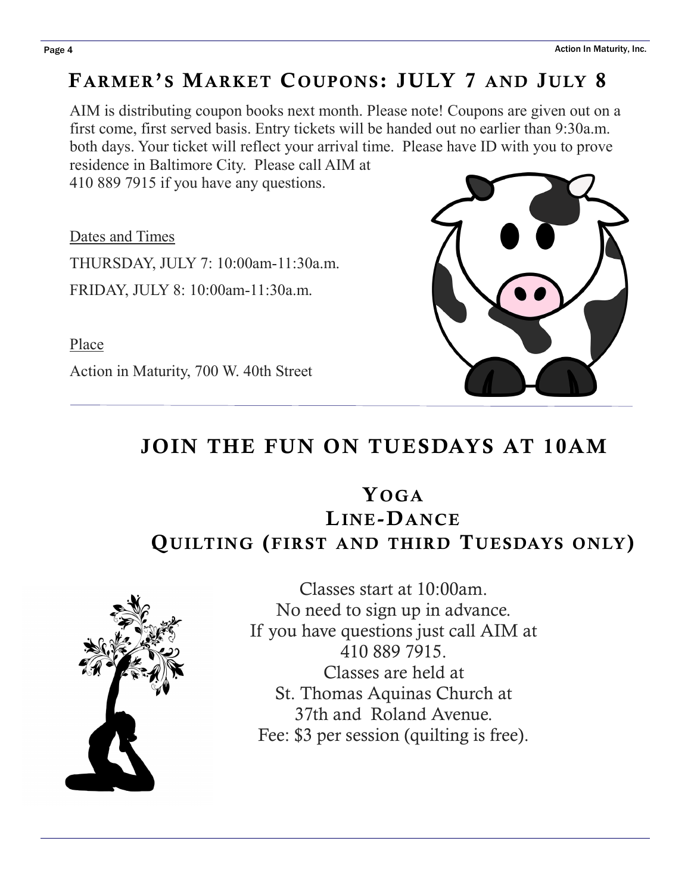# FARMER'S MARKET COUPONS: JULY 7 AND JULY 8

AIM is distributing coupon books next month. Please note! Coupons are given out on a first come, first served basis. Entry tickets will be handed out no earlier than 9:30a.m. both days. Your ticket will reflect your arrival time. Please have ID with you to prove residence in Baltimore City. Please call AIM at

410 889 7915 if you have any questions.

Dates and Times THURSDAY, JULY 7: 10:00am-11:30a.m. FRIDAY, JULY 8: 10:00am-11:30a.m.

Place

Action in Maturity, 700 W. 40th Street

# JOIN THE FUN ON TUESDAYS AT 10AM

# Y<sub>OG</sub>A LINE-DANCE QUILTING (FIRST AND THIRD TUESDAYS ONLY)



Classes start at 10:00am. No need to sign up in advance. If you have questions just call AIM at 410 889 7915. Classes are held at St. Thomas Aquinas Church at 37th and Roland Avenue. Fee: \$3 per session (quilting is free).

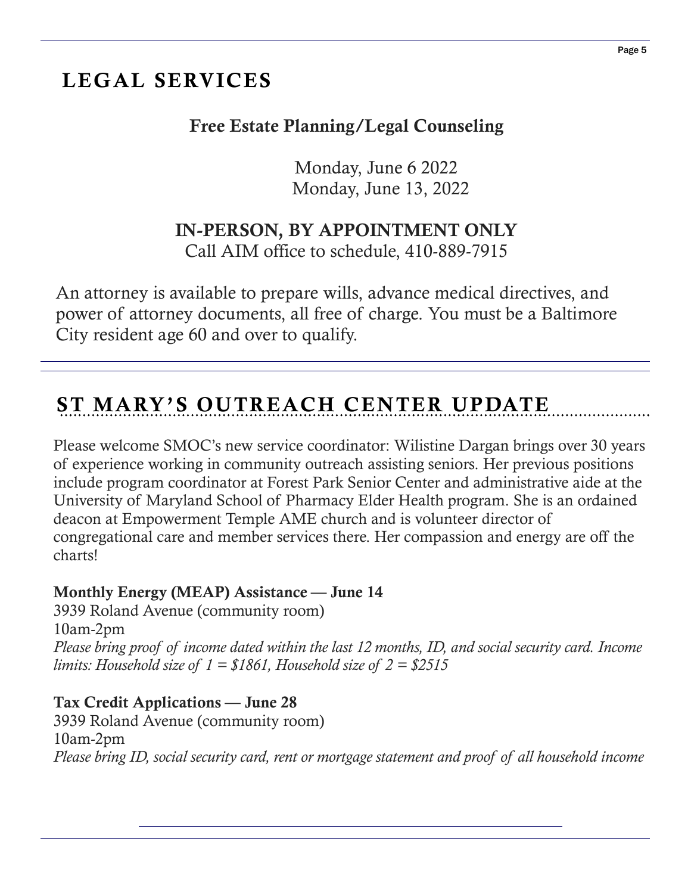# LEGAL SERVICES

# Free Estate Planning/Legal Counseling

 Monday, June 6 2022 Monday, June 13, 2022

### IN-PERSON, BY APPOINTMENT ONLY

Call AIM office to schedule, 410-889-7915

An attorney is available to prepare wills, advance medical directives, and power of attorney documents, all free of charge. You must be a Baltimore City resident age 60 and over to qualify.

# ST MARY'S OUTREACH CENTER UPDATE

Please welcome SMOC's new service coordinator: Wilistine Dargan brings over 30 years of experience working in community outreach assisting seniors. Her previous positions include program coordinator at Forest Park Senior Center and administrative aide at the University of Maryland School of Pharmacy Elder Health program. She is an ordained deacon at Empowerment Temple AME church and is volunteer director of congregational care and member services there. Her compassion and energy are off the charts!

#### Monthly Energy (MEAP) Assistance — June 14

3939 Roland Avenue (community room) 10am-2pm *Please bring proof of income dated within the last 12 months, ID, and social security card. Income limits: Household size of 1 = \$1861, Household size of 2 = \$2515*

#### Tax Credit Applications — June 28

3939 Roland Avenue (community room) 10am-2pm *Please bring ID, social security card, rent or mortgage statement and proof of all household income*